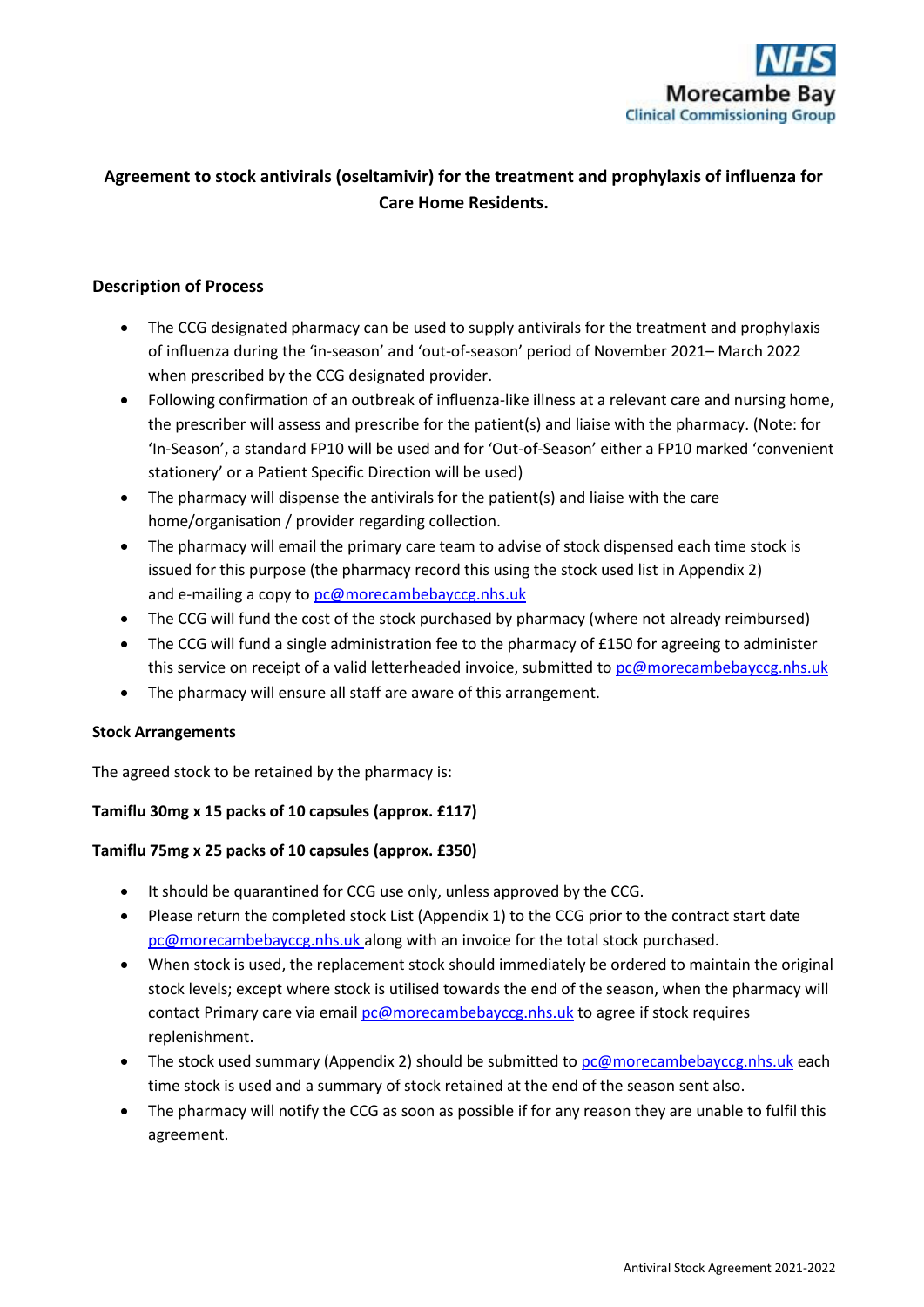

# **Agreement to stock antivirals (oseltamivir) for the treatment and prophylaxis of influenza for Care Home Residents.**

### **Description of Process**

- The CCG designated pharmacy can be used to supply antivirals for the treatment and prophylaxis of influenza during the 'in-season' and 'out-of-season' period of November 2021– March 2022 when prescribed by the CCG designated provider.
- Following confirmation of an outbreak of influenza-like illness at a relevant care and nursing home, the prescriber will assess and prescribe for the patient(s) and liaise with the pharmacy. (Note: for 'In-Season', a standard FP10 will be used and for 'Out-of-Season' either a FP10 marked 'convenient stationery' or a Patient Specific Direction will be used)
- The pharmacy will dispense the antivirals for the patient(s) and liaise with the care home/organisation / provider regarding collection.
- The pharmacy will email the primary care team to advise of stock dispensed each time stock is issued for this purpose (the pharmacy record this using the stock used list in Appendix 2) and e-mailing a copy to [pc@morecambebayccg.nhs.uk](mailto:pc@morecambebayccg.nhs.uk)
- The CCG will fund the cost of the stock purchased by pharmacy (where not already reimbursed)
- The CCG will fund a single administration fee to the pharmacy of £150 for agreeing to administer this service on receipt of a valid letterheaded invoice, submitted to [pc@morecambebayccg.nhs.uk](mailto:pc@morecambebayccg.nhs.uk)
- The pharmacy will ensure all staff are aware of this arrangement.

#### **Stock Arrangements**

The agreed stock to be retained by the pharmacy is:

#### **Tamiflu 30mg x 15 packs of 10 capsules (approx. £117)**

#### **Tamiflu 75mg x 25 packs of 10 capsules (approx. £350)**

- It should be quarantined for CCG use only, unless approved by the CCG.
- Please return the completed stock List (Appendix 1) to the CCG prior to the contract start date [pc@morecambebayccg.nhs.uk](mailto:pc@morecambebayccg.nhs.uk) along with an invoice for the total stock purchased.
- When stock is used, the replacement stock should immediately be ordered to maintain the original stock levels; except where stock is utilised towards the end of the season, when the pharmacy will contact Primary care via email [pc@morecambebayccg.nhs.uk](mailto:pc@morecambebayccg.nhs.uk) to agree if stock requires replenishment.
- The stock used summary (Appendix 2) should be submitted to  $pc@morecambebayccg.nhs.uk$  each time stock is used and a summary of stock retained at the end of the season sent also.
- The pharmacy will notify the CCG as soon as possible if for any reason they are unable to fulfil this agreement.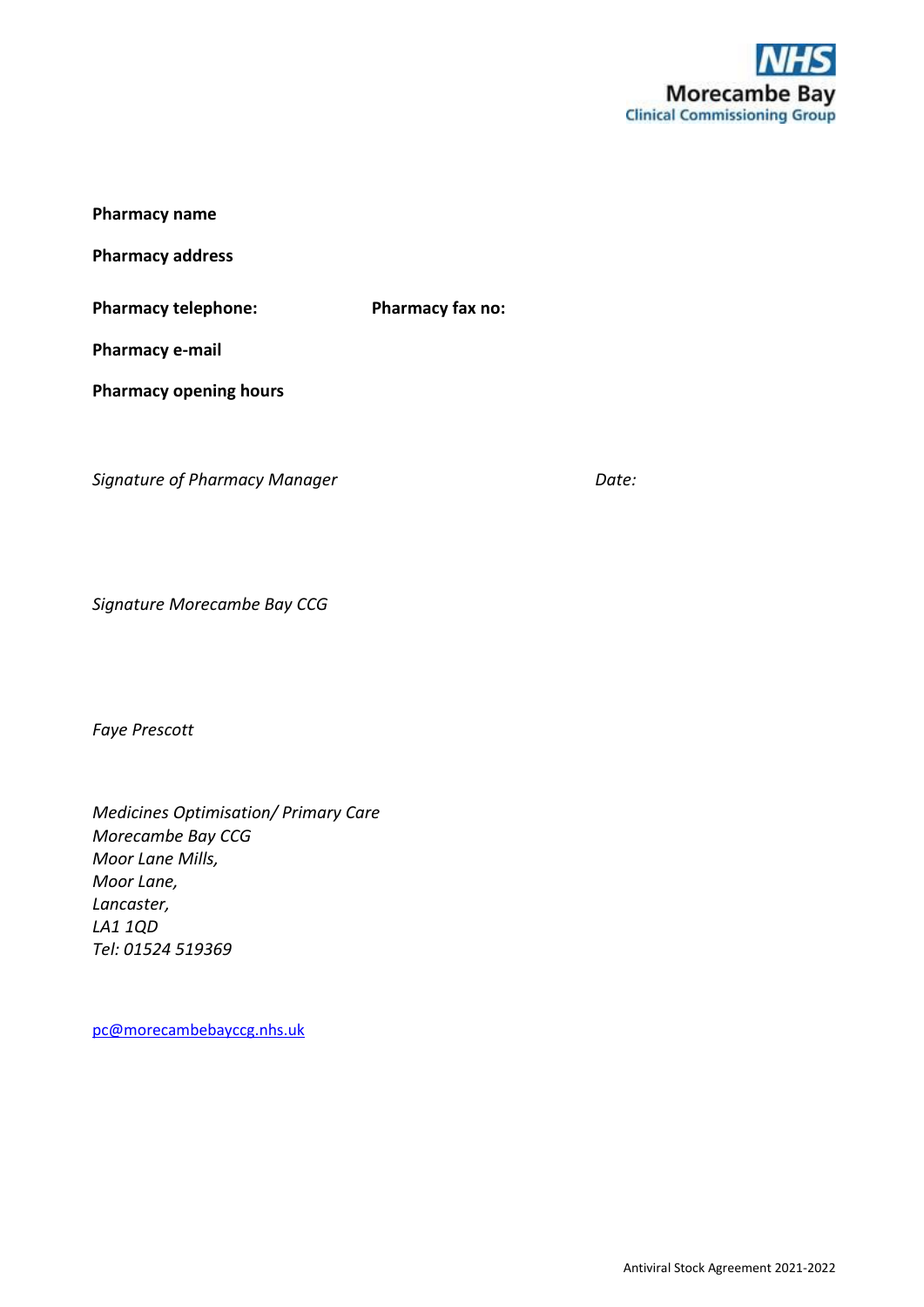

| <b>Pharmacy name</b>          |                         |
|-------------------------------|-------------------------|
| <b>Pharmacy address</b>       |                         |
| <b>Pharmacy telephone:</b>    | <b>Pharmacy fax no:</b> |
| Pharmacy e-mail               |                         |
| <b>Pharmacy opening hours</b> |                         |

**Signature of Pharmacy Manager data and Date:** Date:

*Signature Morecambe Bay CCG*

*Faye Prescott* 

*Medicines Optimisation/ Primary Care Morecambe Bay CCG Moor Lane Mills, Moor Lane, Lancaster, LA1 1QD Tel: 01524 519369*

[pc@morecambebayccg.nhs.uk](mailto:pc@morecambebayccg.nhs.uk)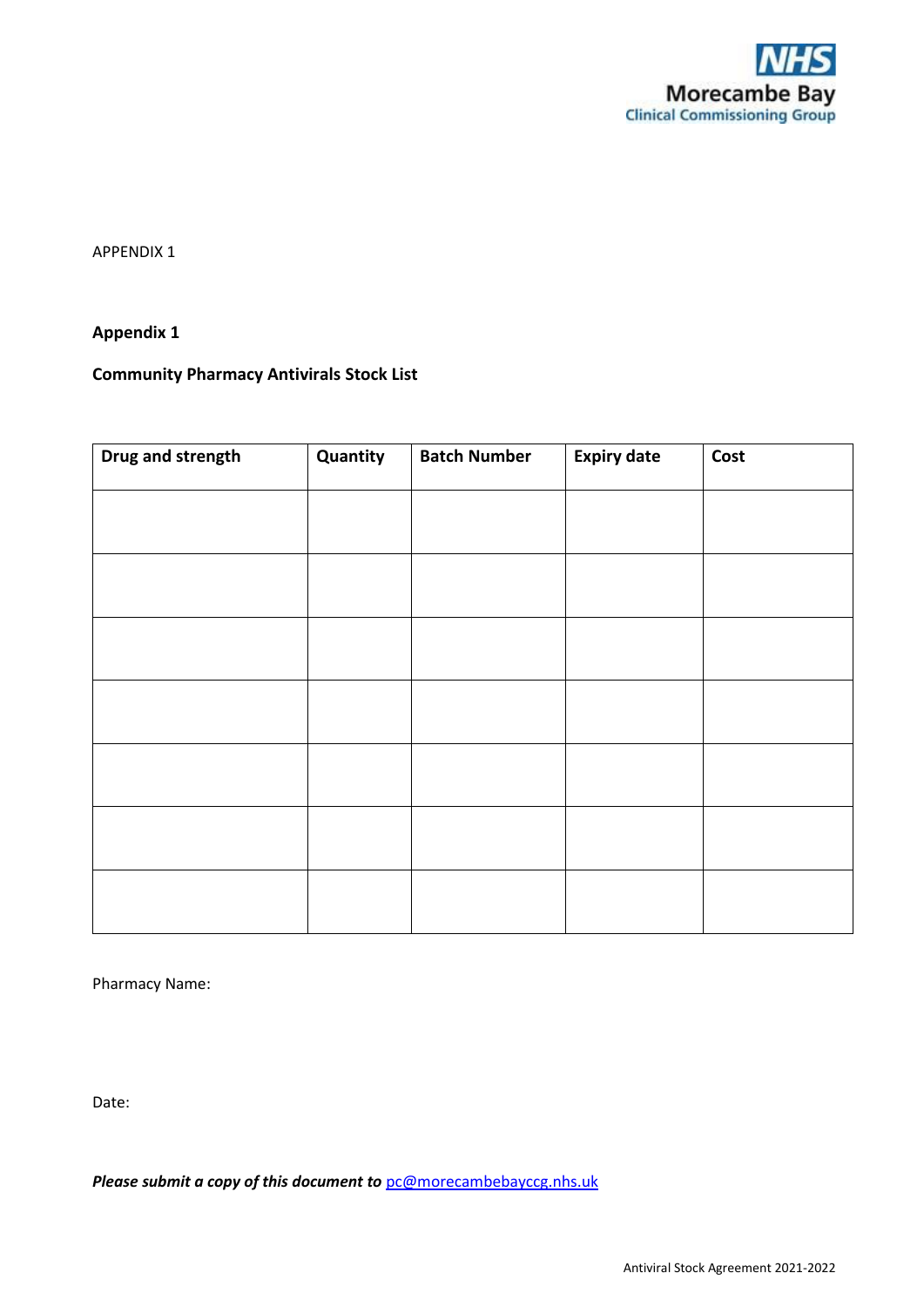

APPENDIX 1

#### **Appendix 1**

# **Community Pharmacy Antivirals Stock List**

| Drug and strength | Quantity | <b>Batch Number</b> | <b>Expiry date</b> | Cost |
|-------------------|----------|---------------------|--------------------|------|
|                   |          |                     |                    |      |
|                   |          |                     |                    |      |
|                   |          |                     |                    |      |
|                   |          |                     |                    |      |
|                   |          |                     |                    |      |
|                   |          |                     |                    |      |
|                   |          |                     |                    |      |
|                   |          |                     |                    |      |

Pharmacy Name:

Date:

*Please submit a copy of this document to* [pc@morecambebayccg.nhs.uk](mailto:pc@morecambebayccg.nhs.uk)